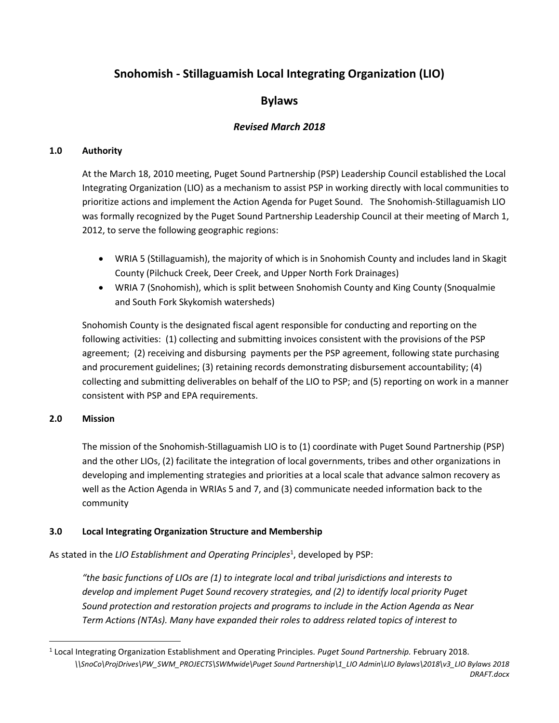# **Snohomish - Stillaguamish Local Integrating Organization (LIO)**

## **Bylaws**

## *Revised March 2018*

## **1.0 Authority**

At the March 18, 2010 meeting, Puget Sound Partnership (PSP) Leadership Council established the Local Integrating Organization (LIO) as a mechanism to assist PSP in working directly with local communities to prioritize actions and implement the Action Agenda for Puget Sound. The Snohomish-Stillaguamish LIO was formally recognized by the Puget Sound Partnership Leadership Council at their meeting of March 1, 2012, to serve the following geographic regions:

- WRIA 5 (Stillaguamish), the majority of which is in Snohomish County and includes land in Skagit County (Pilchuck Creek, Deer Creek, and Upper North Fork Drainages)
- WRIA 7 (Snohomish), which is split between Snohomish County and King County (Snoqualmie and South Fork Skykomish watersheds)

Snohomish County is the designated fiscal agent responsible for conducting and reporting on the following activities: (1) collecting and submitting invoices consistent with the provisions of the PSP agreement; (2) receiving and disbursing payments per the PSP agreement, following state purchasing and procurement guidelines; (3) retaining records demonstrating disbursement accountability; (4) collecting and submitting deliverables on behalf of the LIO to PSP; and (5) reporting on work in a manner consistent with PSP and EPA requirements.

## **2.0 Mission**

 $\overline{\phantom{a}}$ 

The mission of the Snohomish-Stillaguamish LIO is to (1) coordinate with Puget Sound Partnership (PSP) and the other LIOs, (2) facilitate the integration of local governments, tribes and other organizations in developing and implementing strategies and priorities at a local scale that advance salmon recovery as well as the Action Agenda in WRIAs 5 and 7, and (3) communicate needed information back to the community

## **3.0 Local Integrating Organization Structure and Membership**

As stated in the *LIO Establishment and Operating Principles<sup>1</sup>*, developed by PSP:

*"the basic functions of LIOs are (1) to integrate local and tribal jurisdictions and interests to develop and implement Puget Sound recovery strategies, and (2) to identify local priority Puget Sound protection and restoration projects and programs to include in the Action Agenda as Near Term Actions (NTAs). Many have expanded their roles to address related topics of interest to* 

*<sup>\\</sup>SnoCo\ProjDrives\PW\_SWM\_PROJECTS\SWMwide\Puget Sound Partnership\1\_LIO Admin\LIO Bylaws\2018\v3\_LIO Bylaws 2018 DRAFT.docx* 1 Local Integrating Organization Establishment and Operating Principles. *Puget Sound Partnership.* February 2018.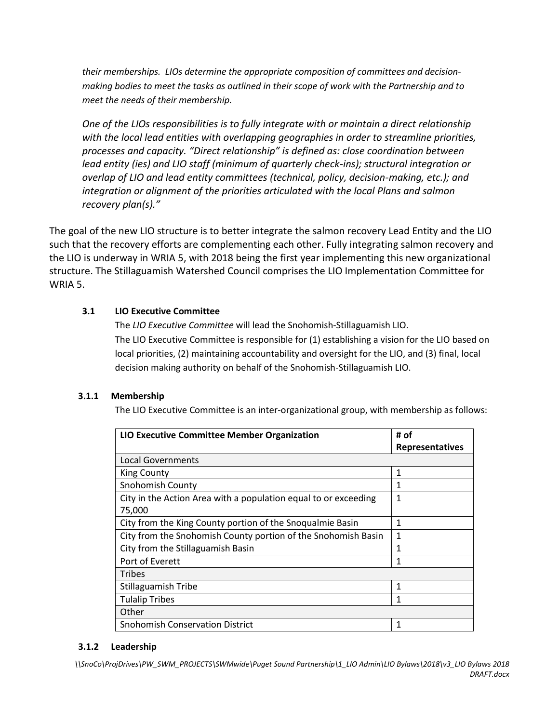*their memberships. LIOs determine the appropriate composition of committees and decisionmaking bodies to meet the tasks as outlined in their scope of work with the Partnership and to meet the needs of their membership.*

*One of the LIOs responsibilities is to fully integrate with or maintain a direct relationship with the local lead entities with overlapping geographies in order to streamline priorities, processes and capacity. "Direct relationship" is defined as: close coordination between lead entity (ies) and LIO staff (minimum of quarterly check-ins); structural integration or overlap of LIO and lead entity committees (technical, policy, decision-making, etc.); and integration or alignment of the priorities articulated with the local Plans and salmon recovery plan(s)."*

The goal of the new LIO structure is to better integrate the salmon recovery Lead Entity and the LIO such that the recovery efforts are complementing each other. Fully integrating salmon recovery and the LIO is underway in WRIA 5, with 2018 being the first year implementing this new organizational structure. The Stillaguamish Watershed Council comprises the LIO Implementation Committee for WRIA 5.

## **3.1 LIO Executive Committee**

The *LIO Executive Committee* will lead the Snohomish-Stillaguamish LIO. The LIO Executive Committee is responsible for (1) establishing a vision for the LIO based on local priorities, (2) maintaining accountability and oversight for the LIO, and (3) final, local decision making authority on behalf of the Snohomish-Stillaguamish LIO.

## **3.1.1 Membership**

The LIO Executive Committee is an inter-organizational group, with membership as follows:

| <b>LIO Executive Committee Member Organization</b>              | # of                   |
|-----------------------------------------------------------------|------------------------|
|                                                                 | <b>Representatives</b> |
| Local Governments                                               |                        |
| <b>King County</b>                                              | 1                      |
| <b>Snohomish County</b>                                         | 1                      |
| City in the Action Area with a population equal to or exceeding | 1                      |
| 75,000                                                          |                        |
| City from the King County portion of the Snoqualmie Basin       | 1                      |
| City from the Snohomish County portion of the Snohomish Basin   | 1                      |
| City from the Stillaguamish Basin                               | 1                      |
| Port of Everett                                                 | 1                      |
| Tribes                                                          |                        |
| <b>Stillaguamish Tribe</b>                                      | 1                      |
| <b>Tulalip Tribes</b>                                           | 1                      |
| Other                                                           |                        |
| <b>Snohomish Conservation District</b>                          | 1                      |

#### **3.1.2 Leadership**

*\\SnoCo\ProjDrives\PW\_SWM\_PROJECTS\SWMwide\Puget Sound Partnership\1\_LIO Admin\LIO Bylaws\2018\v3\_LIO Bylaws 2018 DRAFT.docx*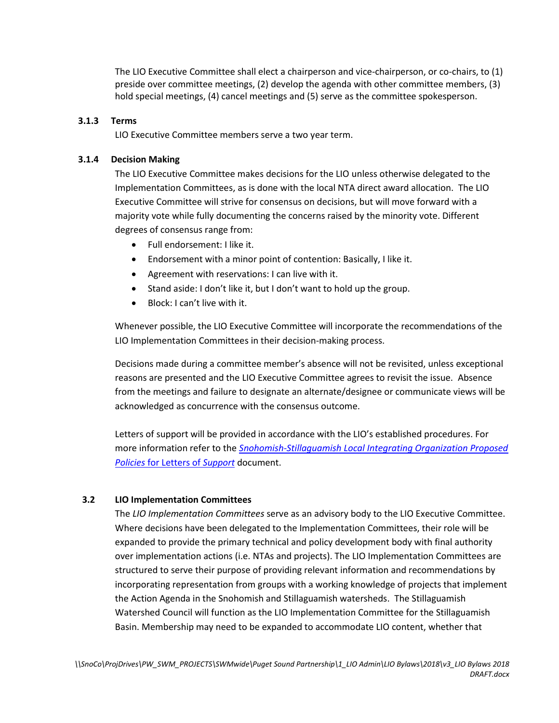The LIO Executive Committee shall elect a chairperson and vice-chairperson, or co-chairs, to (1) preside over committee meetings, (2) develop the agenda with other committee members, (3) hold special meetings, (4) cancel meetings and (5) serve as the committee spokesperson.

#### **3.1.3 Terms**

LIO Executive Committee members serve a two year term.

#### **3.1.4 Decision Making**

The LIO Executive Committee makes decisions for the LIO unless otherwise delegated to the Implementation Committees, as is done with the local NTA direct award allocation. The LIO Executive Committee will strive for consensus on decisions, but will move forward with a majority vote while fully documenting the concerns raised by the minority vote. Different degrees of consensus range from:

- Full endorsement: I like it.
- Endorsement with a minor point of contention: Basically, I like it.
- Agreement with reservations: I can live with it.
- Stand aside: I don't like it, but I don't want to hold up the group.
- Block: I can't live with it.

Whenever possible, the LIO Executive Committee will incorporate the recommendations of the LIO Implementation Committees in their decision-making process.

Decisions made during a committee member's absence will not be revisited, unless exceptional reasons are presented and the LIO Executive Committee agrees to revisit the issue. Absence from the meetings and failure to designate an alternate/designee or communicate views will be acknowledged as concurrence with the consensus outcome.

Letters of support will be provided in accordance with the LIO's established procedures. For more information refer to the *[Snohomish-Stillaguamish Local Integrating Organization Proposed](https://snohomishcountywa.gov/3555/LIO---About-the-LIO)  Policies* [for Letters of](https://snohomishcountywa.gov/3555/LIO---About-the-LIO) *Support* document.

#### **3.2 LIO Implementation Committees**

The *LIO Implementation Committees* serve as an advisory body to the LIO Executive Committee. Where decisions have been delegated to the Implementation Committees, their role will be expanded to provide the primary technical and policy development body with final authority over implementation actions (i.e. NTAs and projects). The LIO Implementation Committees are structured to serve their purpose of providing relevant information and recommendations by incorporating representation from groups with a working knowledge of projects that implement the Action Agenda in the Snohomish and Stillaguamish watersheds. The Stillaguamish Watershed Council will function as the LIO Implementation Committee for the Stillaguamish Basin. Membership may need to be expanded to accommodate LIO content, whether that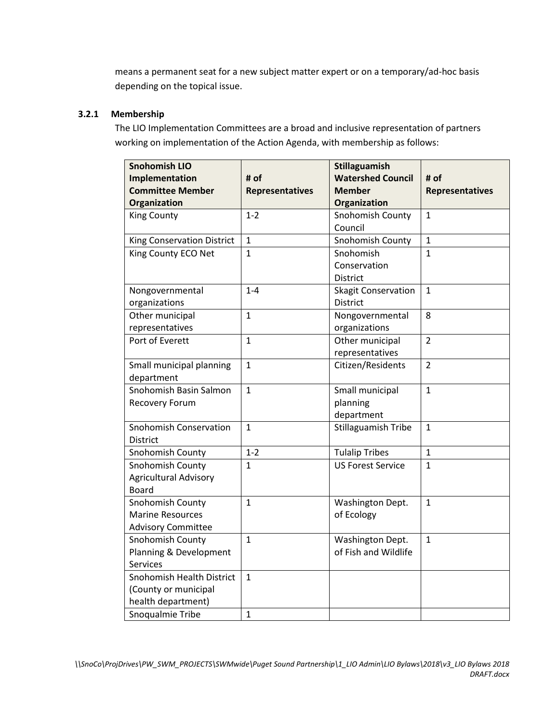means a permanent seat for a new subject matter expert or on a temporary/ad-hoc basis depending on the topical issue.

## **3.2.1 Membership**

The LIO Implementation Committees are a broad and inclusive representation of partners working on implementation of the Action Agenda, with membership as follows:

| <b>Snohomish LIO</b><br>Implementation<br><b>Committee Member</b><br>Organization | # of<br><b>Representatives</b> | <b>Stillaguamish</b><br><b>Watershed Council</b><br><b>Member</b><br>Organization | # of<br><b>Representatives</b> |
|-----------------------------------------------------------------------------------|--------------------------------|-----------------------------------------------------------------------------------|--------------------------------|
| <b>King County</b>                                                                | $1 - 2$                        | Snohomish County<br>Council                                                       | $\mathbf{1}$                   |
| King Conservation District<br>King County ECO Net                                 | $\mathbf{1}$<br>$\mathbf{1}$   | Snohomish County<br>Snohomish<br>Conservation<br><b>District</b>                  | $\mathbf{1}$<br>$\mathbf{1}$   |
| Nongovernmental<br>organizations                                                  | $1 - 4$                        | <b>Skagit Conservation</b><br><b>District</b>                                     | $\mathbf{1}$                   |
| Other municipal<br>representatives                                                | $\mathbf{1}$                   | Nongovernmental<br>organizations                                                  | 8                              |
| Port of Everett                                                                   | $\mathbf{1}$                   | Other municipal<br>representatives                                                | $\overline{2}$                 |
| Small municipal planning<br>department                                            | $\mathbf{1}$                   | Citizen/Residents                                                                 | $\overline{2}$                 |
| Snohomish Basin Salmon<br>Recovery Forum                                          | $\mathbf{1}$                   | Small municipal<br>planning<br>department                                         | $\mathbf{1}$                   |
| <b>Snohomish Conservation</b><br><b>District</b>                                  | $\mathbf{1}$                   | Stillaguamish Tribe                                                               | $\mathbf{1}$                   |
| Snohomish County                                                                  | $1 - 2$                        | <b>Tulalip Tribes</b>                                                             | $\mathbf{1}$                   |
| Snohomish County<br><b>Agricultural Advisory</b><br><b>Board</b>                  | $\mathbf{1}$                   | <b>US Forest Service</b>                                                          | $\mathbf{1}$                   |
| Snohomish County<br><b>Marine Resources</b><br><b>Advisory Committee</b>          | $\mathbf{1}$                   | Washington Dept.<br>of Ecology                                                    | $\mathbf{1}$                   |
| Snohomish County<br>Planning & Development<br>Services                            | $\mathbf{1}$                   | Washington Dept.<br>of Fish and Wildlife                                          | $\mathbf{1}$                   |
| Snohomish Health District<br>(County or municipal<br>health department)           | $\mathbf{1}$                   |                                                                                   |                                |
| Snoqualmie Tribe                                                                  | $\mathbf 1$                    |                                                                                   |                                |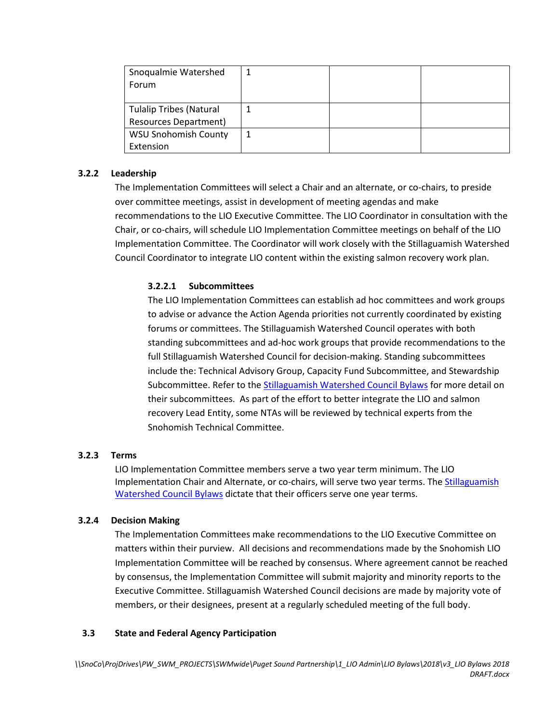| Snoqualmie Watershed           |  |  |
|--------------------------------|--|--|
| Forum                          |  |  |
|                                |  |  |
| <b>Tulalip Tribes (Natural</b> |  |  |
| <b>Resources Department)</b>   |  |  |
| <b>WSU Snohomish County</b>    |  |  |
| Extension                      |  |  |

#### **3.2.2 Leadership**

The Implementation Committees will select a Chair and an alternate, or co-chairs, to preside over committee meetings, assist in development of meeting agendas and make recommendations to the LIO Executive Committee. The LIO Coordinator in consultation with the Chair, or co-chairs, will schedule LIO Implementation Committee meetings on behalf of the LIO Implementation Committee. The Coordinator will work closely with the Stillaguamish Watershed Council Coordinator to integrate LIO content within the existing salmon recovery work plan.

## **3.2.2.1 Subcommittees**

The LIO Implementation Committees can establish ad hoc committees and work groups to advise or advance the Action Agenda priorities not currently coordinated by existing forums or committees. The Stillaguamish Watershed Council operates with both standing subcommittees and ad-hoc work groups that provide recommendations to the full Stillaguamish Watershed Council for decision-making. Standing subcommittees include the: Technical Advisory Group, Capacity Fund Subcommittee, and Stewardship Subcommittee. Refer to th[e Stillaguamish Watershed Council Bylaws](http://www.stillaguamishwatershed.org/Home.html) for more detail on their subcommittees. As part of the effort to better integrate the LIO and salmon recovery Lead Entity, some NTAs will be reviewed by technical experts from the Snohomish Technical Committee.

#### **3.2.3 Terms**

LIO Implementation Committee members serve a two year term minimum. The LIO Implementation Chair and Alternate, or co-chairs, will serve two year terms. The Stillaguamish [Watershed Council Bylaws](http://www.stillaguamishwatershed.org/Home.html) dictate that their officers serve one year terms.

#### **3.2.4 Decision Making**

The Implementation Committees make recommendations to the LIO Executive Committee on matters within their purview. All decisions and recommendations made by the Snohomish LIO Implementation Committee will be reached by consensus. Where agreement cannot be reached by consensus, the Implementation Committee will submit majority and minority reports to the Executive Committee. Stillaguamish Watershed Council decisions are made by majority vote of members, or their designees, present at a regularly scheduled meeting of the full body.

#### **3.3 State and Federal Agency Participation**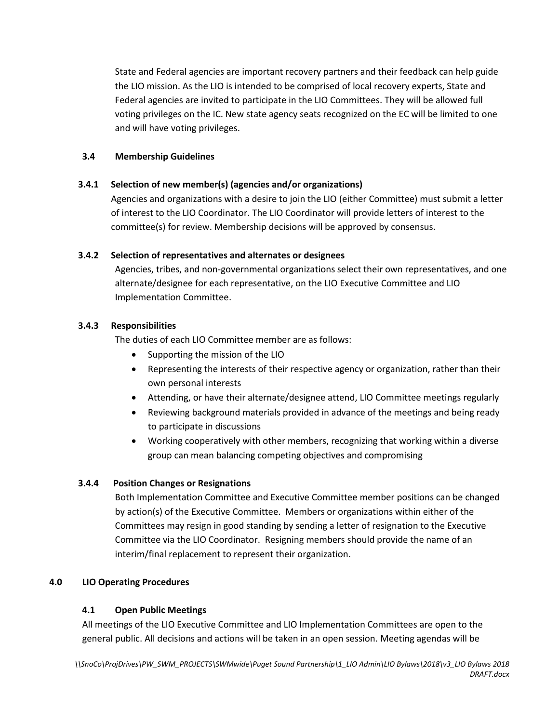State and Federal agencies are important recovery partners and their feedback can help guide the LIO mission. As the LIO is intended to be comprised of local recovery experts, State and Federal agencies are invited to participate in the LIO Committees. They will be allowed full voting privileges on the IC. New state agency seats recognized on the EC will be limited to one and will have voting privileges.

## **3.4 Membership Guidelines**

## **3.4.1 Selection of new member(s) (agencies and/or organizations)**

Agencies and organizations with a desire to join the LIO (either Committee) must submit a letter of interest to the LIO Coordinator. The LIO Coordinator will provide letters of interest to the committee(s) for review. Membership decisions will be approved by consensus.

## **3.4.2 Selection of representatives and alternates or designees**

Agencies, tribes, and non-governmental organizations select their own representatives, and one alternate/designee for each representative, on the LIO Executive Committee and LIO Implementation Committee.

## **3.4.3 Responsibilities**

The duties of each LIO Committee member are as follows:

- Supporting the mission of the LIO
- Representing the interests of their respective agency or organization, rather than their own personal interests
- Attending, or have their alternate/designee attend, LIO Committee meetings regularly
- Reviewing background materials provided in advance of the meetings and being ready to participate in discussions
- Working cooperatively with other members, recognizing that working within a diverse group can mean balancing competing objectives and compromising

## **3.4.4 Position Changes or Resignations**

Both Implementation Committee and Executive Committee member positions can be changed by action(s) of the Executive Committee. Members or organizations within either of the Committees may resign in good standing by sending a letter of resignation to the Executive Committee via the LIO Coordinator. Resigning members should provide the name of an interim/final replacement to represent their organization.

## **4.0 LIO Operating Procedures**

## **4.1 Open Public Meetings**

All meetings of the LIO Executive Committee and LIO Implementation Committees are open to the general public. All decisions and actions will be taken in an open session. Meeting agendas will be